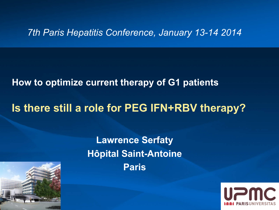#### *7th Paris Hepatitis Conference, January 13-14 2014*

### **How to optimize current therapy of G1 patients**

### **Is there still a role for PEG IFN+RBV therapy?**

### **Lawrence Serfaty Hôpital Saint-Antoine Paris**



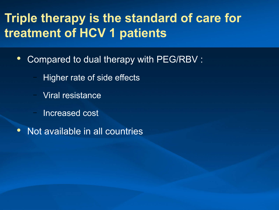# **Triple therapy is the standard of care for treatment of HCV 1 patients**

- Compared to dual therapy with PEG/RBV :
	- Higher rate of side effects
	- Viral resistance
	- Increased cost
- Not available in all countries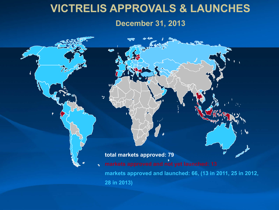### **VICTRELIS APPROVALS & LAUNCHES**

#### **December 31, 2013**

#### **total markets approved: 79**

 $\overline{\mathcal{L}}$ 

 $\mathbb{R}^4$ 

**markets approved and not yet launched: 13**  $\mathscr{E}$ **markets approved and launched: 66, (13 in 2011, 25 in 2012, 28 in 2013)**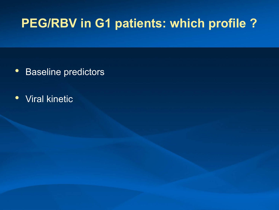# **PEG/RBV in G1 patients: which profile ?**

- Baseline predictors
- Viral kinetic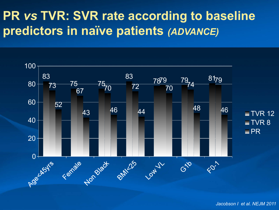# **PR** *vs* **TVR: SVR rate according to baseline predictors in naïve patients** *(ADVANCE)*

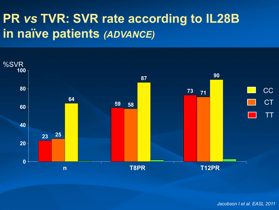# **PR** *vs* **TVR: SVR rate according to IL28B in naïve patients** *(ADVANCE)*



*Jacobson I et al. EASL 2011*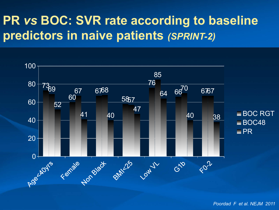# **PR** *vs* **BOC: SVR rate according to baseline predictors in naive patients** *(SPRINT-2)*



*Poordad F et al. NEJM 2011*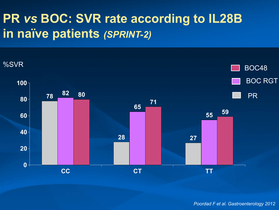# **PR** *vs* **BOC: SVR rate according to IL28B in naïve patients** *(SPRINT-2)*

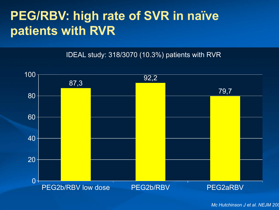# **PEG/RBV: high rate of SVR in naïve patients with RVR**

IDEAL study: 318/3070 (10.3%) patients with RVR



*Mc Hutchinson J et al. NEJM 2009*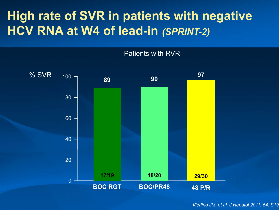# **High rate of SVR in patients with negative HCV RNA at W4 of lead-in** *(SPRINT-2)*



*Vierling JM. et al. J Hepatol 2011: 54: S19*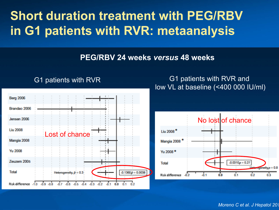# **Short duration treatment with PEG/RBV in G1 patients with RVR: metaanalysis**

#### **PEG/RBV 24 weeks** *versus* **48 weeks**



#### G1 patients with RVR G1 patients with RVR and low VL at baseline (<400 000 IU/ml)



*Moreno C et al. J Hepatol 201*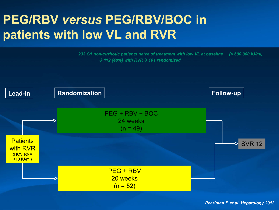# **PEG/RBV** *versus* **PEG/RBV/BOC in patients with low VL and RVR**

*233 G1 non-cirrhotic patients naïve of treatment with low VL at baseline (< 600 000 IU/ml)* → 112 (48%) with RVR→ 101 randomized

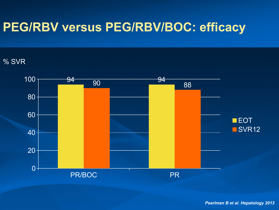# **PEG/RBV versus PEG/RBV/BOC: efficacy**

#### % SVR

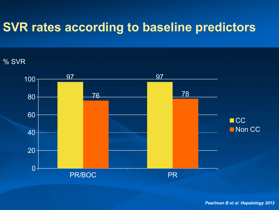## **SVR rates according to baseline predictors**

#### % SVR

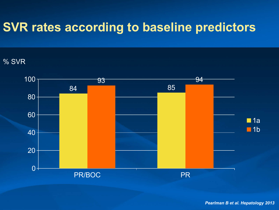## **SVR rates according to baseline predictors**

#### % SVR

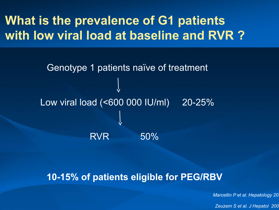# **What is the prevalence of G1 patients with low viral load at baseline and RVR ?**

Low viral load (<600 000 IU/ml) 20-25% RVR 50% Genotype 1 patients naïve of treatment

#### **10-15% of patients eligible for PEG/RBV**

*Marcellin P et al. Hepatology 20* 

*Zeuzem S et al. J Hepatol 2006*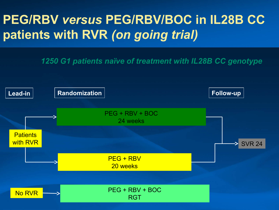# **PEG/RBV** *versus* **PEG/RBV/BOC in IL28B CC patients with RVR** *(on going trial)*

*1250 G1 patients naïve of treatment with IL28B CC genotype*

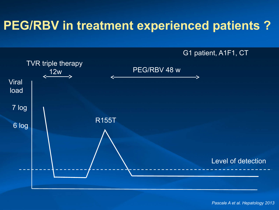# **PEG/RBV in treatment experienced patients ?**

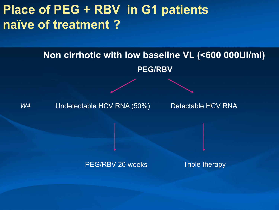# **Place of PEG + RBV in G1 patients naïve of treatment ?**

### **PEG/RBV Non cirrhotic with low baseline VL (<600 000UI/ml)**

W<sub>4</sub> Undetectable HCV RNA (50%) Detectable HCV RNA

PEG/RBV 20 weeks Triple therapy